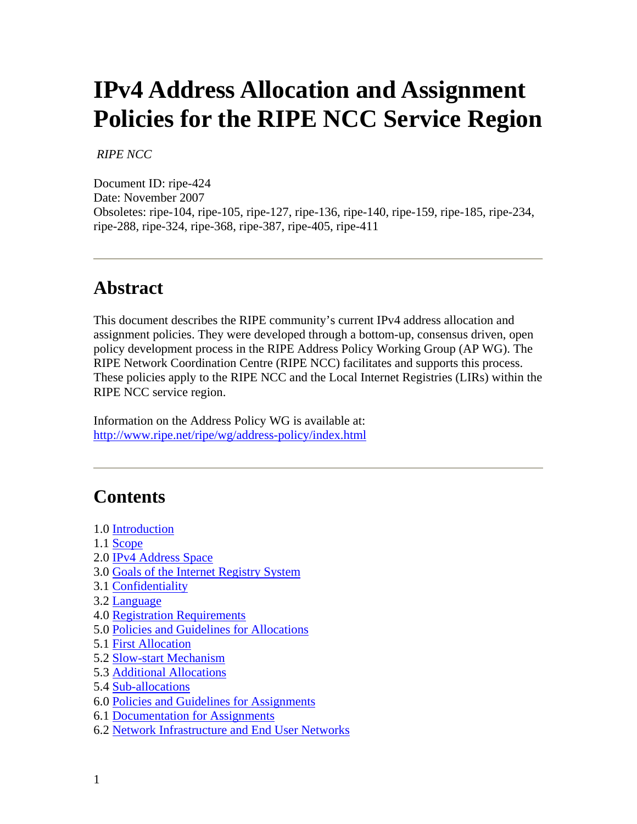# **IPv4 Address Allocation and Assignment Policies for the RIPE NCC Service Region**

#### *RIPE NCC*

Document ID: ripe-424 Date: November 2007 Obsoletes: ripe-104, ripe-105, ripe-127, ripe-136, ripe-140, ripe-159, ripe-185, ripe-234, ripe-288, ripe-324, ripe-368, ripe-387, ripe-405, ripe-411

### **Abstract**

This document describes the RIPE community's current IPv4 address allocation and assignment policies. They were developed through a bottom-up, consensus driven, open policy development process in the RIPE Address Policy Working Group (AP WG). The RIPE Network Coordination Centre (RIPE NCC) facilitates and supports this process. These policies apply to the RIPE NCC and the Local Internet Registries (LIRs) within the RIPE NCC service region.

Information on the Address Policy WG is available at: <http://www.ripe.net/ripe/wg/address-policy/index.html>

### **Contents**

- 1.0 [Introduction](http://test-www.ripe.net/ripe/docs/ripe-411.html#1)
- 1.1 [Scope](http://test-www.ripe.net/ripe/docs/ripe-411.html#11)
- 2.0 [IPv4 Address Space](http://test-www.ripe.net/ripe/docs/ripe-411.html#2)
- 3.0 [Goals of the Internet Registry System](http://test-www.ripe.net/ripe/docs/ripe-411.html#3)
- 3.1 [Confidentiality](http://test-www.ripe.net/ripe/docs/ripe-411.html#31)
- 3.2 [Language](http://test-www.ripe.net/ripe/docs/ripe-411.html#32)
- 4.0 [Registration Requirements](http://test-www.ripe.net/ripe/docs/ripe-411.html#4)
- 5.0 [Policies and Guidelines for Allocations](http://test-www.ripe.net/ripe/docs/ripe-411.html#5)
- 5.1 [First Allocation](http://test-www.ripe.net/ripe/docs/ripe-411.html#51)
- 5.2 [Slow-start Mechanism](http://test-www.ripe.net/ripe/docs/ripe-411.html#52)
- 5.3 [Additional Allocations](http://test-www.ripe.net/ripe/docs/ripe-411.html#53)
- 5.4 [Sub-allocations](http://test-www.ripe.net/ripe/docs/ripe-411.html#54)
- 6.0 [Policies and Guidelines for Assignments](http://test-www.ripe.net/ripe/docs/ripe-411.html#6)
- 6.1 [Documentation for Assignments](http://test-www.ripe.net/ripe/docs/ripe-411.html#61)
- 6.2 [Network Infrastructure and End User Networks](http://test-www.ripe.net/ripe/docs/ripe-411.html#62)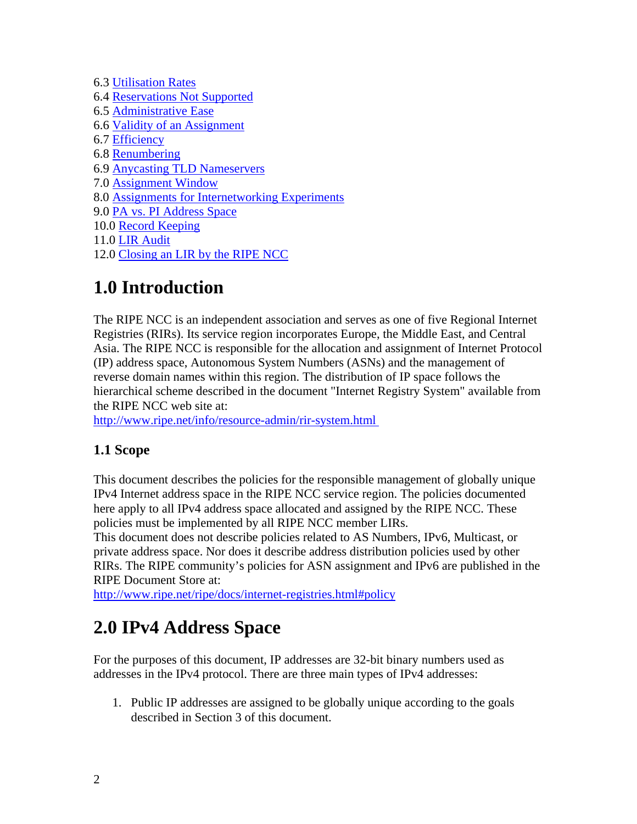6.3 [Utilisation Rates](http://test-www.ripe.net/ripe/docs/ripe-411.html#63) 6.4 [Reservations Not Supported](http://test-www.ripe.net/ripe/docs/ripe-411.html#64) 6.5 [Administrative Ease](http://test-www.ripe.net/ripe/docs/ripe-411.html#65) 6.6 [Validity of an Assignment](http://test-www.ripe.net/ripe/docs/ripe-411.html#66) 6.7 [Efficiency](http://test-www.ripe.net/ripe/docs/ripe-411.html#67) 6.8 [Renumbering](http://test-www.ripe.net/ripe/docs/ripe-411.html#68) 6.9 [Anycasting TLD Nameservers](http://test-www.ripe.net/ripe/docs/ripe-411.html#69) 7.0 [Assignment Window](http://test-www.ripe.net/ripe/docs/ripe-411.html#7) 8.0 [Assignments for Internetworking Experiments](http://test-www.ripe.net/ripe/docs/ripe-411.html#8) 9.0 [PA vs. PI Address Space](http://test-www.ripe.net/ripe/docs/ripe-411.html#9) 10.0 [Record Keeping](http://test-www.ripe.net/ripe/docs/ripe-411.html#10) 11.0 [LIR Audit](http://test-www.ripe.net/ripe/docs/ripe-411.html#11a) 12.0 [Closing an LIR by the RIPE NCC](http://test-www.ripe.net/ripe/docs/ripe-411.html#12)

## **1.0 Introduction**

The RIPE NCC is an independent association and serves as one of five Regional Internet Registries (RIRs). Its service region incorporates Europe, the Middle East, and Central Asia. The RIPE NCC is responsible for the allocation and assignment of Internet Protocol (IP) address space, Autonomous System Numbers (ASNs) and the management of reverse domain names within this region. The distribution of IP space follows the hierarchical scheme described in the document "Internet Registry System" available from the RIPE NCC web site at:

<http://www.ripe.net/info/resource-admin/rir-system.html>

#### **1.1 Scope**

This document describes the policies for the responsible management of globally unique IPv4 Internet address space in the RIPE NCC service region. The policies documented here apply to all IPv4 address space allocated and assigned by the RIPE NCC. These policies must be implemented by all RIPE NCC member LIRs.

This document does not describe policies related to AS Numbers, IPv6, Multicast, or private address space. Nor does it describe address distribution policies used by other RIRs. The RIPE community's policies for ASN assignment and IPv6 are published in the RIPE Document Store at:

<http://www.ripe.net/ripe/docs/internet-registries.html#policy>

### **2.0 IPv4 Address Space**

For the purposes of this document, IP addresses are 32-bit binary numbers used as addresses in the IPv4 protocol. There are three main types of IPv4 addresses:

1. Public IP addresses are assigned to be globally unique according to the goals described in Section 3 of this document.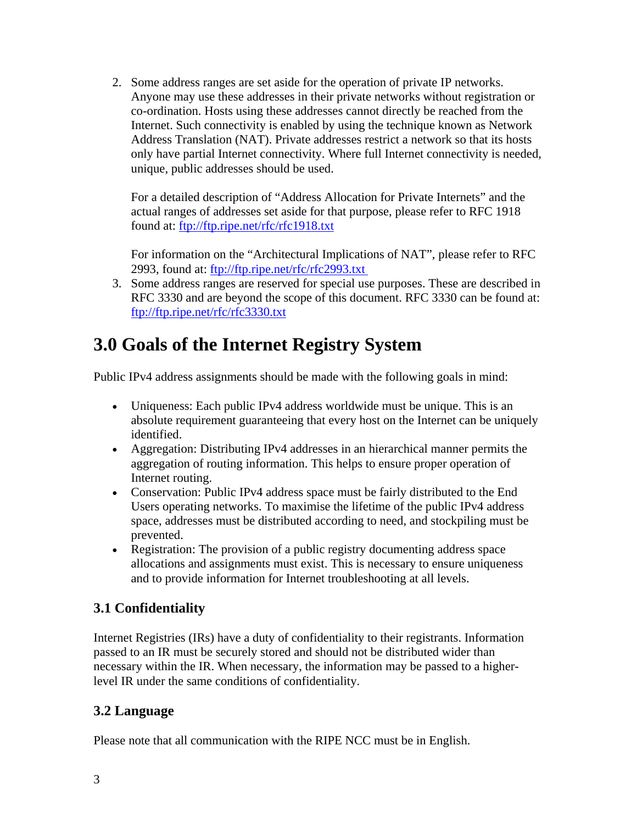2. Some address ranges are set aside for the operation of private IP networks. Anyone may use these addresses in their private networks without registration or co-ordination. Hosts using these addresses cannot directly be reached from the Internet. Such connectivity is enabled by using the technique known as Network Address Translation (NAT). Private addresses restrict a network so that its hosts only have partial Internet connectivity. Where full Internet connectivity is needed, unique, public addresses should be used.

For a detailed description of "Address Allocation for Private Internets" and the actual ranges of addresses set aside for that purpose, please refer to RFC 1918 found at:<ftp://ftp.ripe.net/rfc/rfc1918.txt>

For information on the "Architectural Implications of NAT", please refer to RFC 2993, found at: ftp://ftp.ripe.net/rfc/rfc2993.txt

3. Some address ranges are reserved for special use purposes. These are described in RFC 3330 and are beyond the scope of this document. RFC 3330 can be found at: <ftp://ftp.ripe.net/rfc/rfc3330.txt>

### **3.0 Goals of the Internet Registry System**

Public IPv4 address assignments should be made with the following goals in mind:

- Uniqueness: Each public IPv4 address worldwide must be unique. This is an absolute requirement guaranteeing that every host on the Internet can be uniquely identified.
- Aggregation: Distributing IPv4 addresses in an hierarchical manner permits the aggregation of routing information. This helps to ensure proper operation of Internet routing.
- Conservation: Public IPv4 address space must be fairly distributed to the End Users operating networks. To maximise the lifetime of the public IPv4 address space, addresses must be distributed according to need, and stockpiling must be prevented.
- Registration: The provision of a public registry documenting address space allocations and assignments must exist. This is necessary to ensure uniqueness and to provide information for Internet troubleshooting at all levels.

#### **3.1 Confidentiality**

Internet Registries (IRs) have a duty of confidentiality to their registrants. Information passed to an IR must be securely stored and should not be distributed wider than necessary within the IR. When necessary, the information may be passed to a higherlevel IR under the same conditions of confidentiality.

#### **3.2 Language**

Please note that all communication with the RIPE NCC must be in English.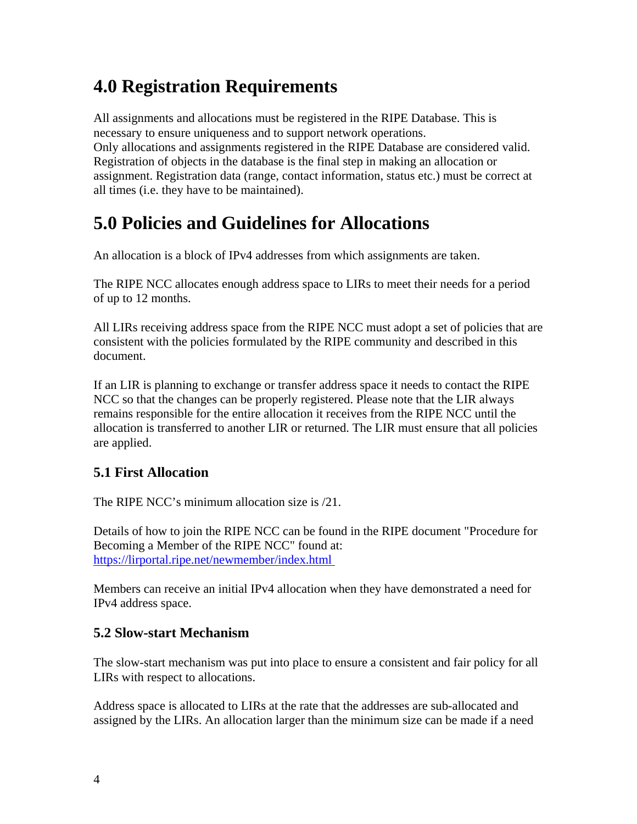### **4.0 Registration Requirements**

All assignments and allocations must be registered in the RIPE Database. This is necessary to ensure uniqueness and to support network operations. Only allocations and assignments registered in the RIPE Database are considered valid. Registration of objects in the database is the final step in making an allocation or assignment. Registration data (range, contact information, status etc.) must be correct at all times (i.e. they have to be maintained).

### **5.0 Policies and Guidelines for Allocations**

An allocation is a block of IPv4 addresses from which assignments are taken.

The RIPE NCC allocates enough address space to LIRs to meet their needs for a period of up to 12 months.

All LIRs receiving address space from the RIPE NCC must adopt a set of policies that are consistent with the policies formulated by the RIPE community and described in this document.

If an LIR is planning to exchange or transfer address space it needs to contact the RIPE NCC so that the changes can be properly registered. Please note that the LIR always remains responsible for the entire allocation it receives from the RIPE NCC until the allocation is transferred to another LIR or returned. The LIR must ensure that all policies are applied.

#### **5.1 First Allocation**

The RIPE NCC's minimum allocation size is /21.

Details of how to join the RIPE NCC can be found in the RIPE document "Procedure for Becoming a Member of the RIPE NCC" found at: <https://lirportal.ripe.net/newmember/index.html>

Members can receive an initial IPv4 allocation when they have demonstrated a need for IPv4 address space.

#### **5.2 Slow-start Mechanism**

The slow-start mechanism was put into place to ensure a consistent and fair policy for all LIRs with respect to allocations.

Address space is allocated to LIRs at the rate that the addresses are sub-allocated and assigned by the LIRs. An allocation larger than the minimum size can be made if a need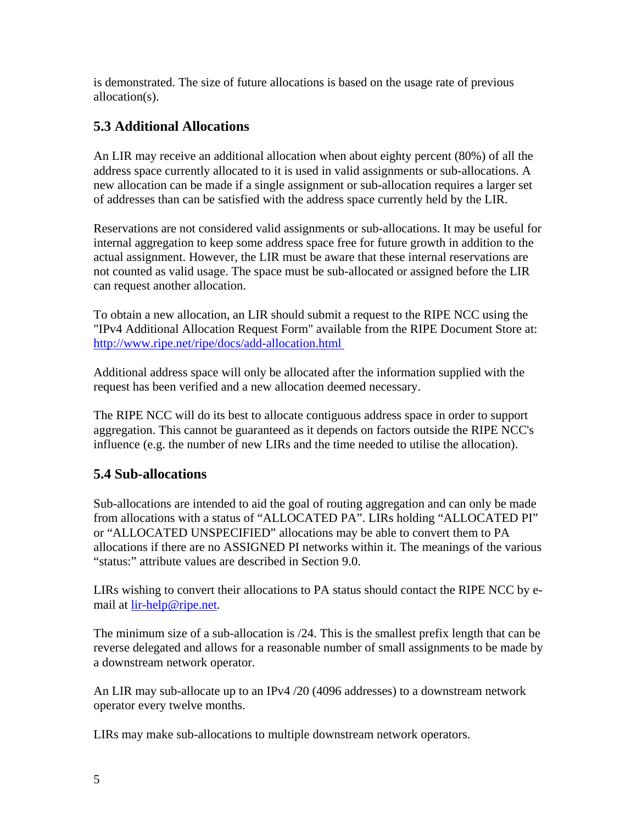is demonstrated. The size of future allocations is based on the usage rate of previous allocation(s).

#### **5.3 Additional Allocations**

An LIR may receive an additional allocation when about eighty percent (80%) of all the address space currently allocated to it is used in valid assignments or sub-allocations. A new allocation can be made if a single assignment or sub-allocation requires a larger set of addresses than can be satisfied with the address space currently held by the LIR.

Reservations are not considered valid assignments or sub-allocations. It may be useful for internal aggregation to keep some address space free for future growth in addition to the actual assignment. However, the LIR must be aware that these internal reservations are not counted as valid usage. The space must be sub-allocated or assigned before the LIR can request another allocation.

To obtain a new allocation, an LIR should submit a request to the RIPE NCC using the "IPv4 Additional Allocation Request Form" available from the RIPE Document Store at: <http://www.ripe.net/ripe/docs/add-allocation.html>

Additional address space will only be allocated after the information supplied with the request has been verified and a new allocation deemed necessary.

The RIPE NCC will do its best to allocate contiguous address space in order to support aggregation. This cannot be guaranteed as it depends on factors outside the RIPE NCC's influence (e.g. the number of new LIRs and the time needed to utilise the allocation).

#### **5.4 Sub-allocations**

Sub-allocations are intended to aid the goal of routing aggregation and can only be made from allocations with a status of "ALLOCATED PA". LIRs holding "ALLOCATED PI" or "ALLOCATED UNSPECIFIED" allocations may be able to convert them to PA allocations if there are no ASSIGNED PI networks within it. The meanings of the various "status:" attribute values are described in Section 9.0.

LIRs wishing to convert their allocations to PA status should contact the RIPE NCC by email at [lir-help@ripe.net.](mailto:lir-help@ripe.net)

The minimum size of a sub-allocation is /24. This is the smallest prefix length that can be reverse delegated and allows for a reasonable number of small assignments to be made by a downstream network operator.

An LIR may sub-allocate up to an IPv4 /20 (4096 addresses) to a downstream network operator every twelve months.

LIRs may make sub-allocations to multiple downstream network operators.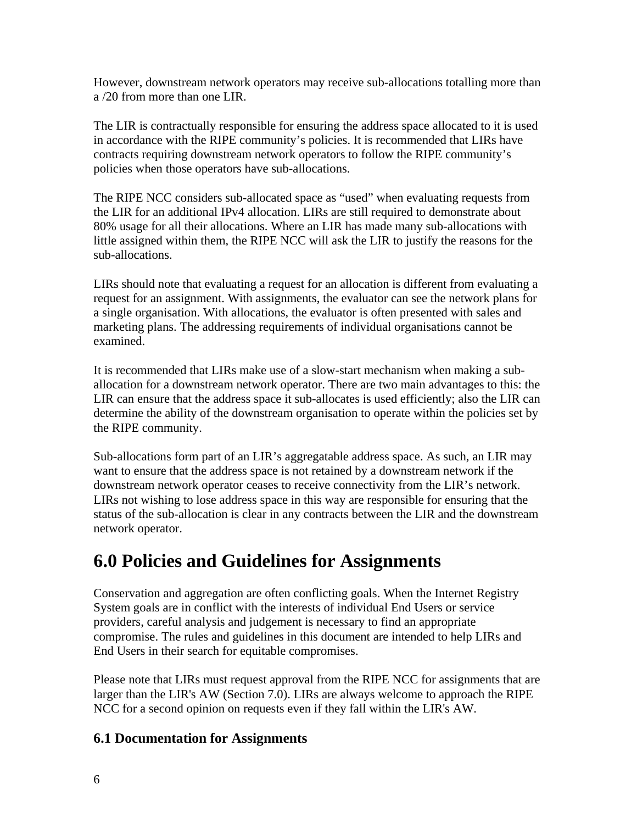However, downstream network operators may receive sub-allocations totalling more than a /20 from more than one LIR.

The LIR is contractually responsible for ensuring the address space allocated to it is used in accordance with the RIPE community's policies. It is recommended that LIRs have contracts requiring downstream network operators to follow the RIPE community's policies when those operators have sub-allocations.

The RIPE NCC considers sub-allocated space as "used" when evaluating requests from the LIR for an additional IPv4 allocation. LIRs are still required to demonstrate about 80% usage for all their allocations. Where an LIR has made many sub-allocations with little assigned within them, the RIPE NCC will ask the LIR to justify the reasons for the sub-allocations.

LIRs should note that evaluating a request for an allocation is different from evaluating a request for an assignment. With assignments, the evaluator can see the network plans for a single organisation. With allocations, the evaluator is often presented with sales and marketing plans. The addressing requirements of individual organisations cannot be examined.

It is recommended that LIRs make use of a slow-start mechanism when making a suballocation for a downstream network operator. There are two main advantages to this: the LIR can ensure that the address space it sub-allocates is used efficiently; also the LIR can determine the ability of the downstream organisation to operate within the policies set by the RIPE community.

Sub-allocations form part of an LIR's aggregatable address space. As such, an LIR may want to ensure that the address space is not retained by a downstream network if the downstream network operator ceases to receive connectivity from the LIR's network. LIRs not wishing to lose address space in this way are responsible for ensuring that the status of the sub-allocation is clear in any contracts between the LIR and the downstream network operator.

### **6.0 Policies and Guidelines for Assignments**

Conservation and aggregation are often conflicting goals. When the Internet Registry System goals are in conflict with the interests of individual End Users or service providers, careful analysis and judgement is necessary to find an appropriate compromise. The rules and guidelines in this document are intended to help LIRs and End Users in their search for equitable compromises.

Please note that LIRs must request approval from the RIPE NCC for assignments that are larger than the LIR's AW (Section 7.0). LIRs are always welcome to approach the RIPE NCC for a second opinion on requests even if they fall within the LIR's AW.

#### **6.1 Documentation for Assignments**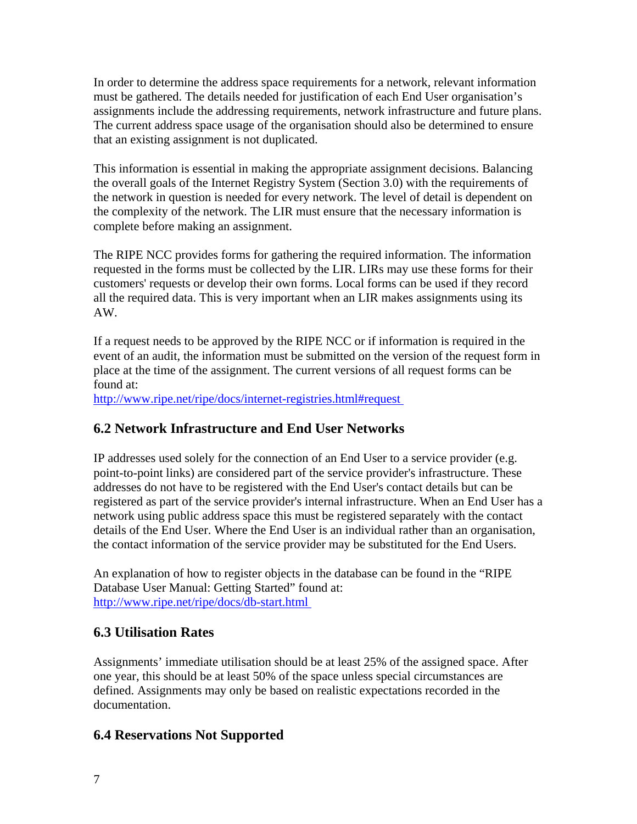In order to determine the address space requirements for a network, relevant information must be gathered. The details needed for justification of each End User organisation's assignments include the addressing requirements, network infrastructure and future plans. The current address space usage of the organisation should also be determined to ensure that an existing assignment is not duplicated.

This information is essential in making the appropriate assignment decisions. Balancing the overall goals of the Internet Registry System (Section 3.0) with the requirements of the network in question is needed for every network. The level of detail is dependent on the complexity of the network. The LIR must ensure that the necessary information is complete before making an assignment.

The RIPE NCC provides forms for gathering the required information. The information requested in the forms must be collected by the LIR. LIRs may use these forms for their customers' requests or develop their own forms. Local forms can be used if they record all the required data. This is very important when an LIR makes assignments using its AW.

If a request needs to be approved by the RIPE NCC or if information is required in the event of an audit, the information must be submitted on the version of the request form in place at the time of the assignment. The current versions of all request forms can be found at:

<http://www.ripe.net/ripe/docs/internet-registries.html#request>

#### **6.2 Network Infrastructure and End User Networks**

IP addresses used solely for the connection of an End User to a service provider (e.g. point-to-point links) are considered part of the service provider's infrastructure. These addresses do not have to be registered with the End User's contact details but can be registered as part of the service provider's internal infrastructure. When an End User has a network using public address space this must be registered separately with the contact details of the End User. Where the End User is an individual rather than an organisation, the contact information of the service provider may be substituted for the End Users.

An explanation of how to register objects in the database can be found in the "RIPE Database User Manual: Getting Started" found at: <http://www.ripe.net/ripe/docs/db-start.html>

#### **6.3 Utilisation Rates**

Assignments' immediate utilisation should be at least 25% of the assigned space. After one year, this should be at least 50% of the space unless special circumstances are defined. Assignments may only be based on realistic expectations recorded in the documentation.

#### **6.4 Reservations Not Supported**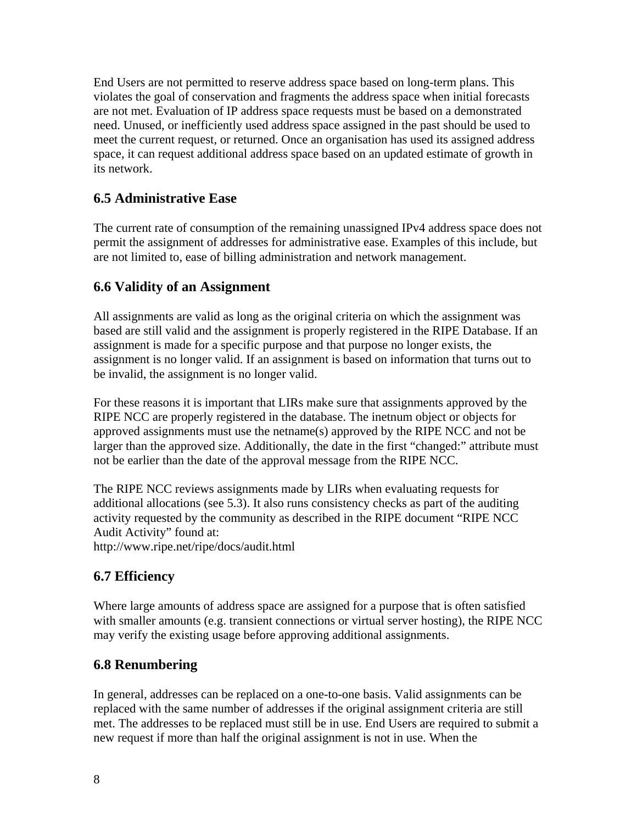End Users are not permitted to reserve address space based on long-term plans. This violates the goal of conservation and fragments the address space when initial forecasts are not met. Evaluation of IP address space requests must be based on a demonstrated need. Unused, or inefficiently used address space assigned in the past should be used to meet the current request, or returned. Once an organisation has used its assigned address space, it can request additional address space based on an updated estimate of growth in its network.

#### **6.5 Administrative Ease**

The current rate of consumption of the remaining unassigned IPv4 address space does not permit the assignment of addresses for administrative ease. Examples of this include, but are not limited to, ease of billing administration and network management.

#### **6.6 Validity of an Assignment**

All assignments are valid as long as the original criteria on which the assignment was based are still valid and the assignment is properly registered in the RIPE Database. If an assignment is made for a specific purpose and that purpose no longer exists, the assignment is no longer valid. If an assignment is based on information that turns out to be invalid, the assignment is no longer valid.

For these reasons it is important that LIRs make sure that assignments approved by the RIPE NCC are properly registered in the database. The inetnum object or objects for approved assignments must use the netname(s) approved by the RIPE NCC and not be larger than the approved size. Additionally, the date in the first "changed:" attribute must not be earlier than the date of the approval message from the RIPE NCC.

The RIPE NCC reviews assignments made by LIRs when evaluating requests for additional allocations (see 5.3). It also runs consistency checks as part of the auditing activity requested by the community as described in the RIPE document "RIPE NCC Audit Activity" found at:

http://www.ripe.net/ripe/docs/audit.html

#### **6.7 Efficiency**

Where large amounts of address space are assigned for a purpose that is often satisfied with smaller amounts (e.g. transient connections or virtual server hosting), the RIPE NCC may verify the existing usage before approving additional assignments.

#### **6.8 Renumbering**

In general, addresses can be replaced on a one-to-one basis. Valid assignments can be replaced with the same number of addresses if the original assignment criteria are still met. The addresses to be replaced must still be in use. End Users are required to submit a new request if more than half the original assignment is not in use. When the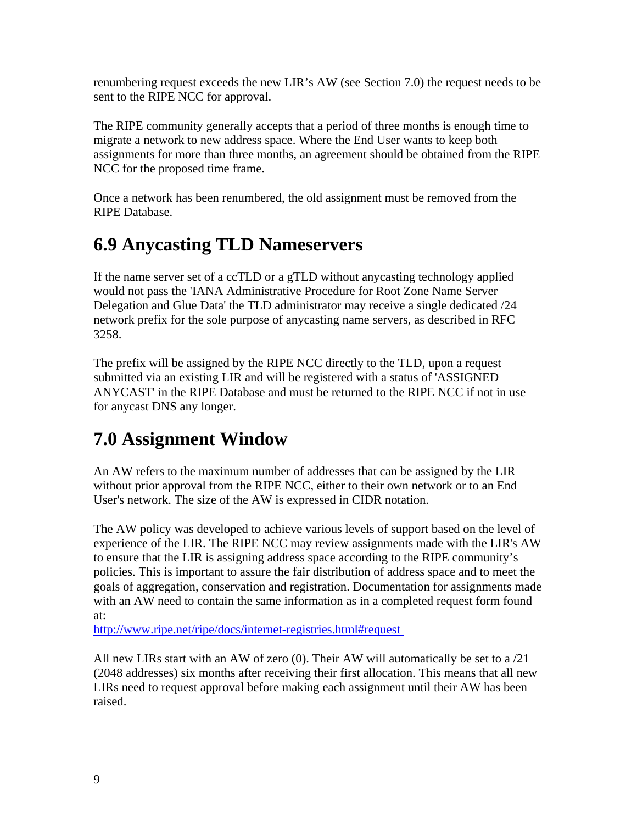renumbering request exceeds the new LIR's AW (see Section 7.0) the request needs to be sent to the RIPE NCC for approval.

The RIPE community generally accepts that a period of three months is enough time to migrate a network to new address space. Where the End User wants to keep both assignments for more than three months, an agreement should be obtained from the RIPE NCC for the proposed time frame.

Once a network has been renumbered, the old assignment must be removed from the RIPE Database.

### **6.9 Anycasting TLD Nameservers**

If the name server set of a ccTLD or a gTLD without anycasting technology applied would not pass the 'IANA Administrative Procedure for Root Zone Name Server Delegation and Glue Data' the TLD administrator may receive a single dedicated /24 network prefix for the sole purpose of anycasting name servers, as described in RFC 3258.

The prefix will be assigned by the RIPE NCC directly to the TLD, upon a request submitted via an existing LIR and will be registered with a status of 'ASSIGNED ANYCAST' in the RIPE Database and must be returned to the RIPE NCC if not in use for anycast DNS any longer.

### **7.0 Assignment Window**

An AW refers to the maximum number of addresses that can be assigned by the LIR without prior approval from the RIPE NCC, either to their own network or to an End User's network. The size of the AW is expressed in CIDR notation.

The AW policy was developed to achieve various levels of support based on the level of experience of the LIR. The RIPE NCC may review assignments made with the LIR's AW to ensure that the LIR is assigning address space according to the RIPE community's policies. This is important to assure the fair distribution of address space and to meet the goals of aggregation, conservation and registration. Documentation for assignments made with an AW need to contain the same information as in a completed request form found at:

<http://www.ripe.net/ripe/docs/internet-registries.html#request>

All new LIRs start with an AW of zero (0). Their AW will automatically be set to a /21 (2048 addresses) six months after receiving their first allocation. This means that all new LIRs need to request approval before making each assignment until their AW has been raised.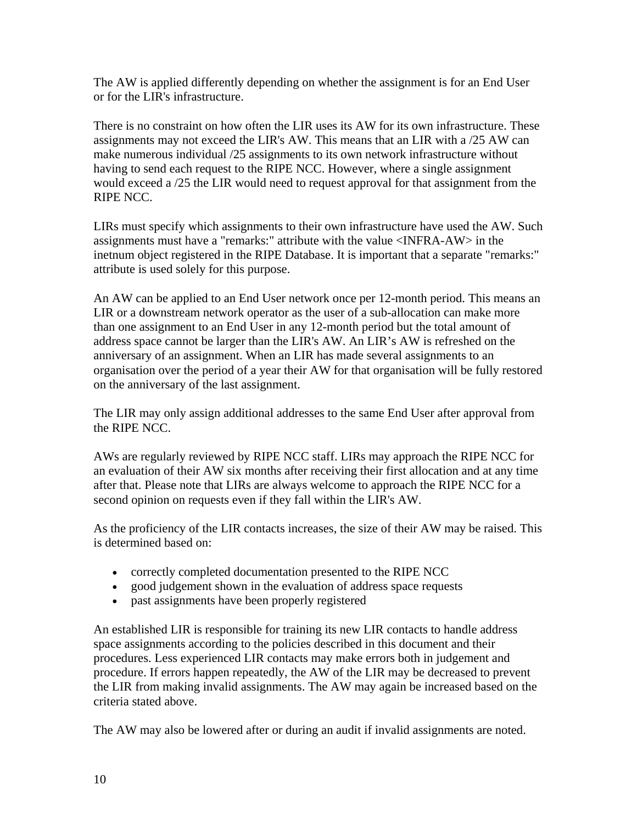The AW is applied differently depending on whether the assignment is for an End User or for the LIR's infrastructure.

There is no constraint on how often the LIR uses its AW for its own infrastructure. These assignments may not exceed the LIR's AW. This means that an LIR with a /25 AW can make numerous individual /25 assignments to its own network infrastructure without having to send each request to the RIPE NCC. However, where a single assignment would exceed a /25 the LIR would need to request approval for that assignment from the RIPE NCC.

LIRs must specify which assignments to their own infrastructure have used the AW. Such assignments must have a "remarks:" attribute with the value <INFRA-AW> in the inetnum object registered in the RIPE Database. It is important that a separate "remarks:" attribute is used solely for this purpose.

An AW can be applied to an End User network once per 12-month period. This means an LIR or a downstream network operator as the user of a sub-allocation can make more than one assignment to an End User in any 12-month period but the total amount of address space cannot be larger than the LIR's AW. An LIR's AW is refreshed on the anniversary of an assignment. When an LIR has made several assignments to an organisation over the period of a year their AW for that organisation will be fully restored on the anniversary of the last assignment.

The LIR may only assign additional addresses to the same End User after approval from the RIPE NCC.

AWs are regularly reviewed by RIPE NCC staff. LIRs may approach the RIPE NCC for an evaluation of their AW six months after receiving their first allocation and at any time after that. Please note that LIRs are always welcome to approach the RIPE NCC for a second opinion on requests even if they fall within the LIR's AW.

As the proficiency of the LIR contacts increases, the size of their AW may be raised. This is determined based on:

- correctly completed documentation presented to the RIPE NCC
- good judgement shown in the evaluation of address space requests
- past assignments have been properly registered

An established LIR is responsible for training its new LIR contacts to handle address space assignments according to the policies described in this document and their procedures. Less experienced LIR contacts may make errors both in judgement and procedure. If errors happen repeatedly, the AW of the LIR may be decreased to prevent the LIR from making invalid assignments. The AW may again be increased based on the criteria stated above.

The AW may also be lowered after or during an audit if invalid assignments are noted.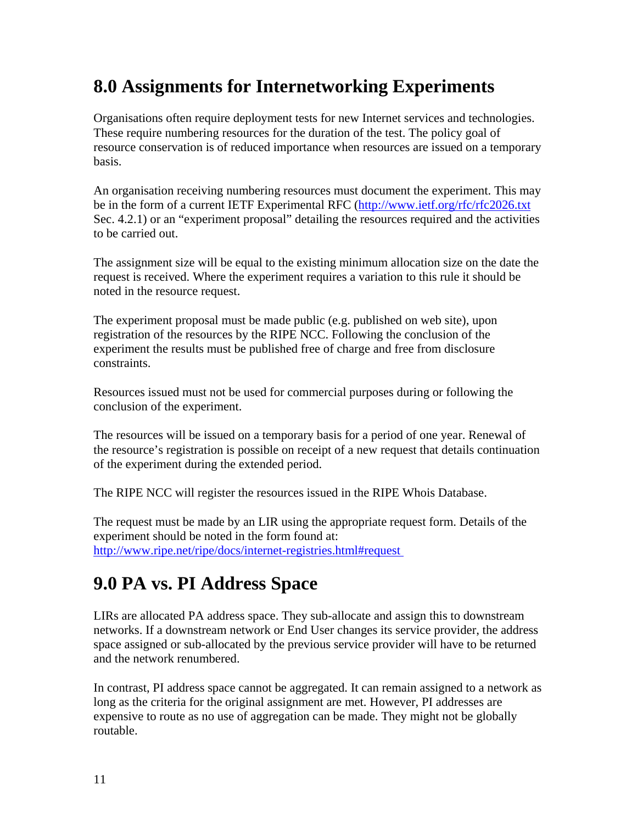### **8.0 Assignments for Internetworking Experiments**

Organisations often require deployment tests for new Internet services and technologies. These require numbering resources for the duration of the test. The policy goal of resource conservation is of reduced importance when resources are issued on a temporary basis.

An organisation receiving numbering resources must document the experiment. This may be in the form of a current IETF Experimental RFC (<http://www.ietf.org/rfc/rfc2026.txt> Sec. 4.2.1) or an "experiment proposal" detailing the resources required and the activities to be carried out.

The assignment size will be equal to the existing minimum allocation size on the date the request is received. Where the experiment requires a variation to this rule it should be noted in the resource request.

The experiment proposal must be made public (e.g. published on web site), upon registration of the resources by the RIPE NCC. Following the conclusion of the experiment the results must be published free of charge and free from disclosure constraints.

Resources issued must not be used for commercial purposes during or following the conclusion of the experiment.

The resources will be issued on a temporary basis for a period of one year. Renewal of the resource's registration is possible on receipt of a new request that details continuation of the experiment during the extended period.

The RIPE NCC will register the resources issued in the RIPE Whois Database.

The request must be made by an LIR using the appropriate request form. Details of the experiment should be noted in the form found at: <http://www.ripe.net/ripe/docs/internet-registries.html#request>

### **9.0 PA vs. PI Address Space**

LIRs are allocated PA address space. They sub-allocate and assign this to downstream networks. If a downstream network or End User changes its service provider, the address space assigned or sub-allocated by the previous service provider will have to be returned and the network renumbered.

In contrast, PI address space cannot be aggregated. It can remain assigned to a network as long as the criteria for the original assignment are met. However, PI addresses are expensive to route as no use of aggregation can be made. They might not be globally routable.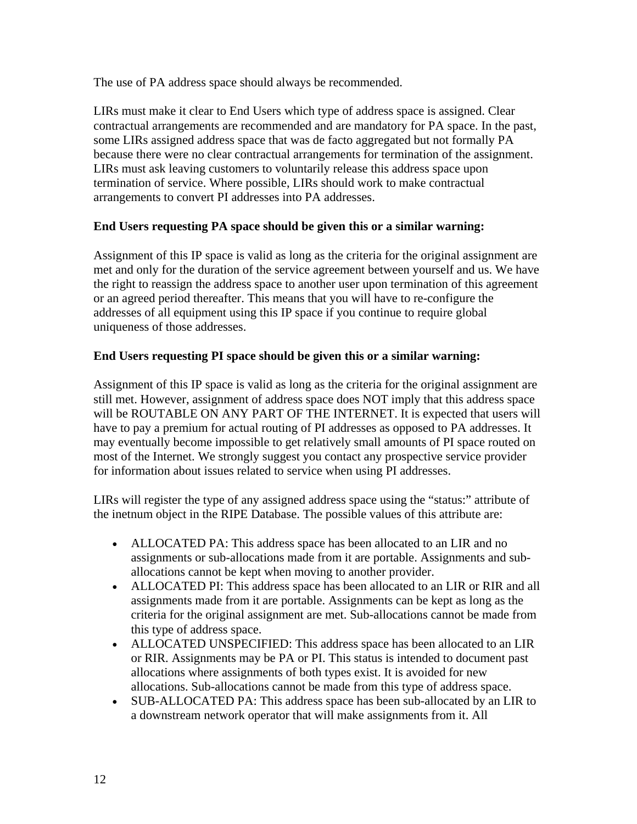The use of PA address space should always be recommended.

LIRs must make it clear to End Users which type of address space is assigned. Clear contractual arrangements are recommended and are mandatory for PA space. In the past, some LIRs assigned address space that was de facto aggregated but not formally PA because there were no clear contractual arrangements for termination of the assignment. LIRs must ask leaving customers to voluntarily release this address space upon termination of service. Where possible, LIRs should work to make contractual arrangements to convert PI addresses into PA addresses.

#### **End Users requesting PA space should be given this or a similar warning:**

Assignment of this IP space is valid as long as the criteria for the original assignment are met and only for the duration of the service agreement between yourself and us. We have the right to reassign the address space to another user upon termination of this agreement or an agreed period thereafter. This means that you will have to re-configure the addresses of all equipment using this IP space if you continue to require global uniqueness of those addresses.

#### **End Users requesting PI space should be given this or a similar warning:**

Assignment of this IP space is valid as long as the criteria for the original assignment are still met. However, assignment of address space does NOT imply that this address space will be ROUTABLE ON ANY PART OF THE INTERNET. It is expected that users will have to pay a premium for actual routing of PI addresses as opposed to PA addresses. It may eventually become impossible to get relatively small amounts of PI space routed on most of the Internet. We strongly suggest you contact any prospective service provider for information about issues related to service when using PI addresses.

LIRs will register the type of any assigned address space using the "status:" attribute of the inetnum object in the RIPE Database. The possible values of this attribute are:

- ALLOCATED PA: This address space has been allocated to an LIR and no assignments or sub-allocations made from it are portable. Assignments and suballocations cannot be kept when moving to another provider.
- ALLOCATED PI: This address space has been allocated to an LIR or RIR and all assignments made from it are portable. Assignments can be kept as long as the criteria for the original assignment are met. Sub-allocations cannot be made from this type of address space.
- ALLOCATED UNSPECIFIED: This address space has been allocated to an LIR or RIR. Assignments may be PA or PI. This status is intended to document past allocations where assignments of both types exist. It is avoided for new allocations. Sub-allocations cannot be made from this type of address space.
- SUB-ALLOCATED PA: This address space has been sub-allocated by an LIR to a downstream network operator that will make assignments from it. All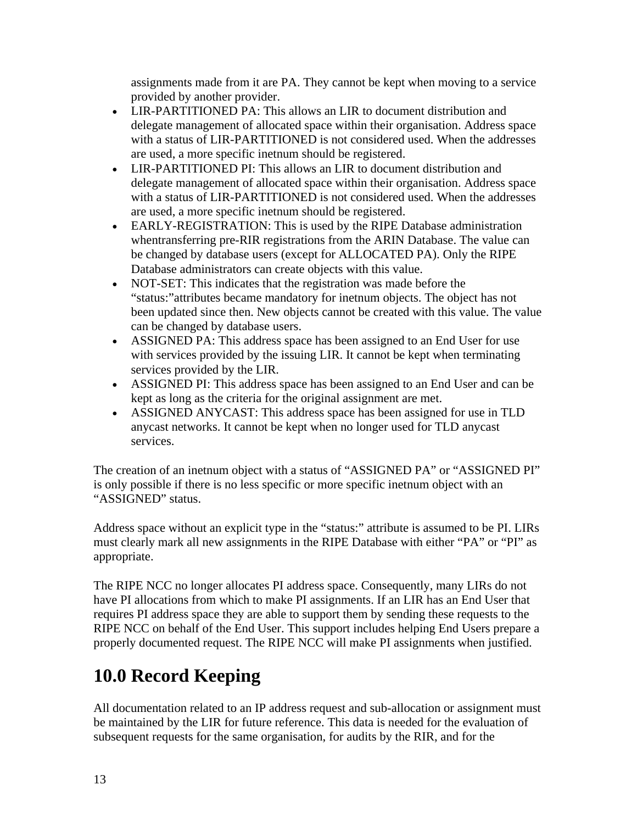assignments made from it are PA. They cannot be kept when moving to a service provided by another provider.

- LIR-PARTITIONED PA: This allows an LIR to document distribution and delegate management of allocated space within their organisation. Address space with a status of LIR-PARTITIONED is not considered used. When the addresses are used, a more specific inetnum should be registered.
- LIR-PARTITIONED PI: This allows an LIR to document distribution and delegate management of allocated space within their organisation. Address space with a status of LIR-PARTITIONED is not considered used. When the addresses are used, a more specific inetnum should be registered.
- EARLY-REGISTRATION: This is used by the RIPE Database administration whentransferring pre-RIR registrations from the ARIN Database. The value can be changed by database users (except for ALLOCATED PA). Only the RIPE Database administrators can create objects with this value.
- NOT-SET: This indicates that the registration was made before the "status:"attributes became mandatory for inetnum objects. The object has not been updated since then. New objects cannot be created with this value. The value can be changed by database users.
- ASSIGNED PA: This address space has been assigned to an End User for use with services provided by the issuing LIR. It cannot be kept when terminating services provided by the LIR.
- ASSIGNED PI: This address space has been assigned to an End User and can be kept as long as the criteria for the original assignment are met.
- ASSIGNED ANYCAST: This address space has been assigned for use in TLD anycast networks. It cannot be kept when no longer used for TLD anycast services.

The creation of an inetnum object with a status of "ASSIGNED PA" or "ASSIGNED PI" is only possible if there is no less specific or more specific inetnum object with an "ASSIGNED" status.

Address space without an explicit type in the "status:" attribute is assumed to be PI. LIRs must clearly mark all new assignments in the RIPE Database with either "PA" or "PI" as appropriate.

The RIPE NCC no longer allocates PI address space. Consequently, many LIRs do not have PI allocations from which to make PI assignments. If an LIR has an End User that requires PI address space they are able to support them by sending these requests to the RIPE NCC on behalf of the End User. This support includes helping End Users prepare a properly documented request. The RIPE NCC will make PI assignments when justified.

### **10.0 Record Keeping**

All documentation related to an IP address request and sub-allocation or assignment must be maintained by the LIR for future reference. This data is needed for the evaluation of subsequent requests for the same organisation, for audits by the RIR, and for the